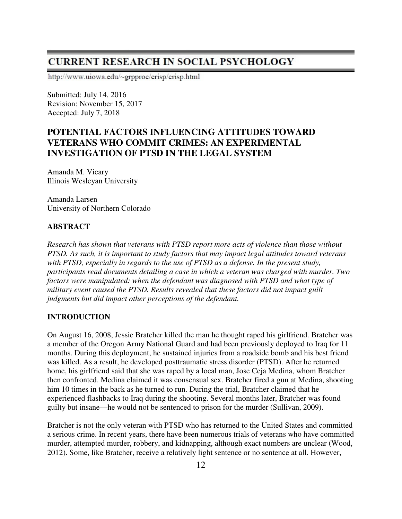# **CURRENT RESEARCH IN SOCIAL PSYCHOLOGY**

http://www.uiowa.edu/~grpproc/crisp/crisp.html

Submitted: July 14, 2016 Revision: November 15, 2017 Accepted: July 7, 2018

# **POTENTIAL FACTORS INFLUENCING ATTITUDES TOWARD VETERANS WHO COMMIT CRIMES: AN EXPERIMENTAL INVESTIGATION OF PTSD IN THE LEGAL SYSTEM**

Amanda M. Vicary Illinois Wesleyan University

Amanda Larsen University of Northern Colorado

# **ABSTRACT**

*Research has shown that veterans with PTSD report more acts of violence than those without PTSD. As such, it is important to study factors that may impact legal attitudes toward veterans with PTSD, especially in regards to the use of PTSD as a defense. In the present study, participants read documents detailing a case in which a veteran was charged with murder. Two factors were manipulated: when the defendant was diagnosed with PTSD and what type of military event caused the PTSD. Results revealed that these factors did not impact guilt judgments but did impact other perceptions of the defendant.* 

# **INTRODUCTION**

On August 16, 2008, Jessie Bratcher killed the man he thought raped his girlfriend. Bratcher was a member of the Oregon Army National Guard and had been previously deployed to Iraq for 11 months. During this deployment, he sustained injuries from a roadside bomb and his best friend was killed. As a result, he developed posttraumatic stress disorder (PTSD). After he returned home, his girlfriend said that she was raped by a local man, Jose Ceja Medina, whom Bratcher then confronted. Medina claimed it was consensual sex. Bratcher fired a gun at Medina, shooting him 10 times in the back as he turned to run. During the trial, Bratcher claimed that he experienced flashbacks to Iraq during the shooting. Several months later, Bratcher was found guilty but insane—he would not be sentenced to prison for the murder (Sullivan, 2009).

Bratcher is not the only veteran with PTSD who has returned to the United States and committed a serious crime. In recent years, there have been numerous trials of veterans who have committed murder, attempted murder, robbery, and kidnapping, although exact numbers are unclear (Wood, 2012). Some, like Bratcher, receive a relatively light sentence or no sentence at all. However,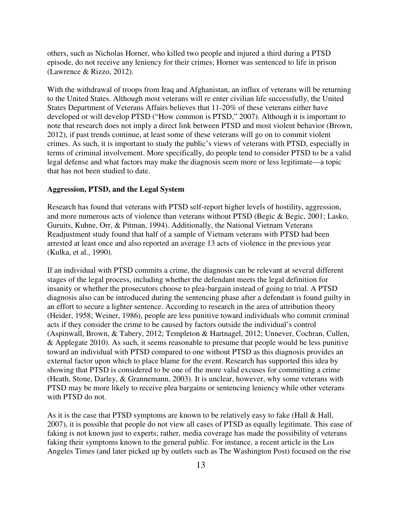others, such as Nicholas Horner, who killed two people and injured a third during a PTSD episode, do not receive any leniency for their crimes; Horner was sentenced to life in prison (Lawrence & Rizzo, 2012).

With the withdrawal of troops from Iraq and Afghanistan, an influx of veterans will be returning to the United States. Although most veterans will re enter civilian life successfully, the United States Department of Veterans Affairs believes that 11-20% of these veterans either have developed or will develop PTSD ("How common is PTSD," 2007). Although it is important to note that research does not imply a direct link between PTSD and most violent behavior (Brown, 2012), if past trends continue, at least some of these veterans will go on to commit violent crimes. As such, it is important to study the public's views of veterans with PTSD, especially in terms of criminal involvement. More specifically, do people tend to consider PTSD to be a valid legal defense and what factors may make the diagnosis seem more or less legitimate—a topic that has not been studied to date.

## **Aggression, PTSD, and the Legal System**

Research has found that veterans with PTSD self-report higher levels of hostility, aggression, and more numerous acts of violence than veterans without PTSD (Begic & Begic, 2001; Lasko, Guruits, Kuhne, Orr, & Pitman, 1994). Additionally, the National Vietnam Veterans Readjustment study found that half of a sample of Vietnam veterans with PTSD had been arrested at least once and also reported an average 13 acts of violence in the previous year (Kulka, et al., 1990).

If an individual with PTSD commits a crime, the diagnosis can be relevant at several different stages of the legal process, including whether the defendant meets the legal definition for insanity or whether the prosecutors choose to plea-bargain instead of going to trial. A PTSD diagnosis also can be introduced during the sentencing phase after a defendant is found guilty in an effort to secure a lighter sentence. According to research in the area of attribution theory (Heider, 1958; Weiner, 1986), people are less punitive toward individuals who commit criminal acts if they consider the crime to be caused by factors outside the individual's control (Aspinwall, Brown, & Tabery, 2012; Templeton & Hartnagel, 2012; Unnever, Cochran, Cullen, & Applegate 2010). As such, it seems reasonable to presume that people would be less punitive toward an individual with PTSD compared to one without PTSD as this diagnosis provides an external factor upon which to place blame for the event. Research has supported this idea by showing that PTSD is considered to be one of the more valid excuses for committing a crime (Heath, Stone, Darley, & Grannemann, 2003). It is unclear, however, why some veterans with PTSD may be more likely to receive plea bargains or sentencing leniency while other veterans with PTSD do not.

As it is the case that PTSD symptoms are known to be relatively easy to fake (Hall & Hall, 2007), it is possible that people do not view all cases of PTSD as equally legitimate. This ease of faking is not known just to experts; rather, media coverage has made the possibility of veterans faking their symptoms known to the general public. For instance, a recent article in the Los Angeles Times (and later picked up by outlets such as The Washington Post) focused on the rise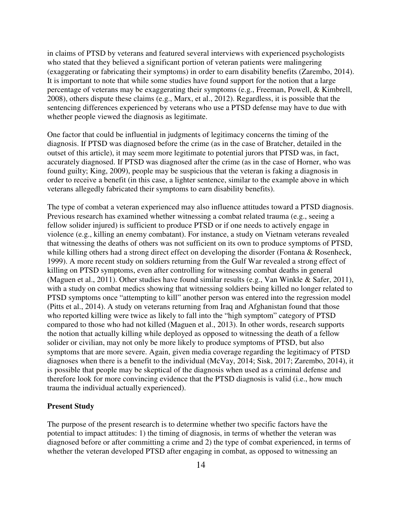in claims of PTSD by veterans and featured several interviews with experienced psychologists who stated that they believed a significant portion of veteran patients were malingering (exaggerating or fabricating their symptoms) in order to earn disability benefits (Zarembo, 2014). It is important to note that while some studies have found support for the notion that a large percentage of veterans may be exaggerating their symptoms (e.g., Freeman, Powell, & Kimbrell, 2008), others dispute these claims (e.g., Marx, et al., 2012). Regardless, it is possible that the sentencing differences experienced by veterans who use a PTSD defense may have to due with whether people viewed the diagnosis as legitimate.

One factor that could be influential in judgments of legitimacy concerns the timing of the diagnosis. If PTSD was diagnosed before the crime (as in the case of Bratcher, detailed in the outset of this article), it may seem more legitimate to potential jurors that PTSD was, in fact, accurately diagnosed. If PTSD was diagnosed after the crime (as in the case of Horner, who was found guilty; King, 2009), people may be suspicious that the veteran is faking a diagnosis in order to receive a benefit (in this case, a lighter sentence, similar to the example above in which veterans allegedly fabricated their symptoms to earn disability benefits).

The type of combat a veteran experienced may also influence attitudes toward a PTSD diagnosis. Previous research has examined whether witnessing a combat related trauma (e.g., seeing a fellow solider injured) is sufficient to produce PTSD or if one needs to actively engage in violence (e.g., killing an enemy combatant). For instance, a study on Vietnam veterans revealed that witnessing the deaths of others was not sufficient on its own to produce symptoms of PTSD, while killing others had a strong direct effect on developing the disorder (Fontana & Rosenheck, 1999). A more recent study on soldiers returning from the Gulf War revealed a strong effect of killing on PTSD symptoms, even after controlling for witnessing combat deaths in general (Maguen et al., 2011). Other studies have found similar results (e.g., Van Winkle & Safer, 2011), with a study on combat medics showing that witnessing soldiers being killed no longer related to PTSD symptoms once "attempting to kill" another person was entered into the regression model (Pitts et al., 2014). A study on veterans returning from Iraq and Afghanistan found that those who reported killing were twice as likely to fall into the "high symptom" category of PTSD compared to those who had not killed (Maguen et al., 2013). In other words, research supports the notion that actually killing while deployed as opposed to witnessing the death of a fellow solider or civilian, may not only be more likely to produce symptoms of PTSD, but also symptoms that are more severe. Again, given media coverage regarding the legitimacy of PTSD diagnoses when there is a benefit to the individual (McVay, 2014; Sisk, 2017; Zarembo, 2014), it is possible that people may be skeptical of the diagnosis when used as a criminal defense and therefore look for more convincing evidence that the PTSD diagnosis is valid (i.e., how much trauma the individual actually experienced).

#### **Present Study**

The purpose of the present research is to determine whether two specific factors have the potential to impact attitudes: 1) the timing of diagnosis, in terms of whether the veteran was diagnosed before or after committing a crime and 2) the type of combat experienced, in terms of whether the veteran developed PTSD after engaging in combat, as opposed to witnessing an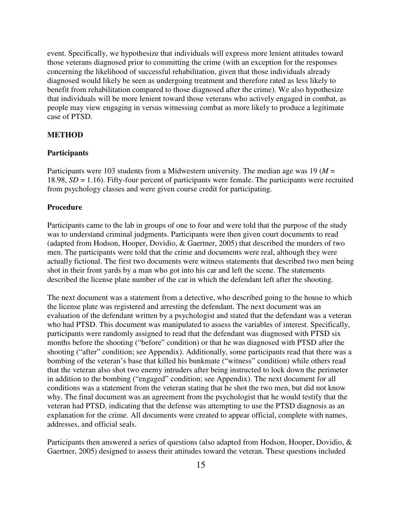event. Specifically, we hypothesize that individuals will express more lenient attitudes toward those veterans diagnosed prior to committing the crime (with an exception for the responses concerning the likelihood of successful rehabilitation, given that those individuals already diagnosed would likely be seen as undergoing treatment and therefore rated as less likely to benefit from rehabilitation compared to those diagnosed after the crime). We also hypothesize that individuals will be more lenient toward those veterans who actively engaged in combat, as people may view engaging in versus witnessing combat as more likely to produce a legitimate case of PTSD.

## **METHOD**

## **Participants**

Participants were 103 students from a Midwestern university. The median age was 19 (*M* = 18.98, *SD* = 1.16). Fifty-four percent of participants were female. The participants were recruited from psychology classes and were given course credit for participating.

## **Procedure**

Participants came to the lab in groups of one to four and were told that the purpose of the study was to understand criminal judgments. Participants were then given court documents to read (adapted from Hodson, Hooper, Dovidio, & Gaertner, 2005) that described the murders of two men. The participants were told that the crime and documents were real, although they were actually fictional. The first two documents were witness statements that described two men being shot in their front yards by a man who got into his car and left the scene. The statements described the license plate number of the car in which the defendant left after the shooting.

The next document was a statement from a detective, who described going to the house to which the license plate was registered and arresting the defendant. The next document was an evaluation of the defendant written by a psychologist and stated that the defendant was a veteran who had PTSD. This document was manipulated to assess the variables of interest. Specifically, participants were randomly assigned to read that the defendant was diagnosed with PTSD six months before the shooting ("before" condition) or that he was diagnosed with PTSD after the shooting ("after" condition; see Appendix). Additionally, some participants read that there was a bombing of the veteran's base that killed his bunkmate ("witness" condition) while others read that the veteran also shot two enemy intruders after being instructed to lock down the perimeter in addition to the bombing ("engaged" condition; see Appendix). The next document for all conditions was a statement from the veteran stating that he shot the two men, but did not know why. The final document was an agreement from the psychologist that he would testify that the veteran had PTSD, indicating that the defense was attempting to use the PTSD diagnosis as an explanation for the crime. All documents were created to appear official, complete with names, addresses, and official seals.

Participants then answered a series of questions (also adapted from Hodson, Hooper, Dovidio, & Gaertner, 2005) designed to assess their attitudes toward the veteran. These questions included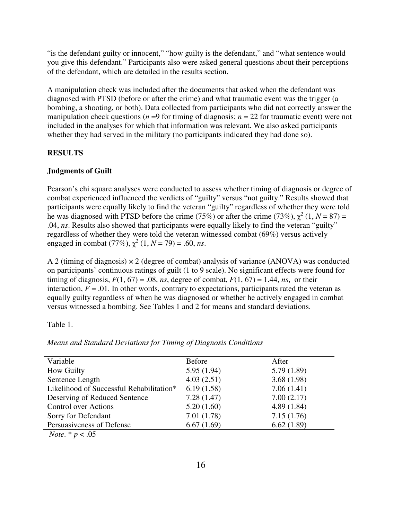"is the defendant guilty or innocent," "how guilty is the defendant," and "what sentence would you give this defendant." Participants also were asked general questions about their perceptions of the defendant, which are detailed in the results section.

A manipulation check was included after the documents that asked when the defendant was diagnosed with PTSD (before or after the crime) and what traumatic event was the trigger (a bombing, a shooting, or both). Data collected from participants who did not correctly answer the manipulation check questions ( $n = 9$  for timing of diagnosis;  $n = 22$  for traumatic event) were not included in the analyses for which that information was relevant. We also asked participants whether they had served in the military (no participants indicated they had done so).

# **RESULTS**

# **Judgments of Guilt**

Pearson's chi square analyses were conducted to assess whether timing of diagnosis or degree of combat experienced influenced the verdicts of "guilty" versus "not guilty." Results showed that participants were equally likely to find the veteran "guilty" regardless of whether they were told he was diagnosed with PTSD before the crime (75%) or after the crime (73%),  $\chi^2$  (1, N = 87) = .04, *ns*. Results also showed that participants were equally likely to find the veteran "guilty" regardless of whether they were told the veteran witnessed combat (69%) versus actively engaged in combat (77%),  $\chi^2$  (1, *N* = 79) = .60, *ns*.

A 2 (timing of diagnosis) × 2 (degree of combat) analysis of variance (ANOVA) was conducted on participants' continuous ratings of guilt (1 to 9 scale). No significant effects were found for timing of diagnosis,  $F(1, 67) = .08$ , *ns*, degree of combat,  $F(1, 67) = 1.44$ , *ns*, or their interaction,  $F = .01$ . In other words, contrary to expectations, participants rated the veteran as equally guilty regardless of when he was diagnosed or whether he actively engaged in combat versus witnessed a bombing. See Tables 1 and 2 for means and standard deviations.

Table 1.

| Variable                                 | <b>Before</b> | After      |
|------------------------------------------|---------------|------------|
| <b>How Guilty</b>                        | 5.95(1.94)    | 5.79(1.89) |
| Sentence Length                          | 4.03(2.51)    | 3.68(1.98) |
| Likelihood of Successful Rehabilitation* | 6.19(1.58)    | 7.06(1.41) |
| Deserving of Reduced Sentence            | 7.28(1.47)    | 7.00(2.17) |
| <b>Control over Actions</b>              | 5.20(1.60)    | 4.89(1.84) |
| Sorry for Defendant                      | 7.01(1.78)    | 7.15(1.76) |
| Persuasiveness of Defense                | 6.67(1.69)    | 6.62(1.89) |
|                                          |               |            |

*Means and Standard Deviations for Timing of Diagnosis Conditions* 

 *Note*. \* *p* < .05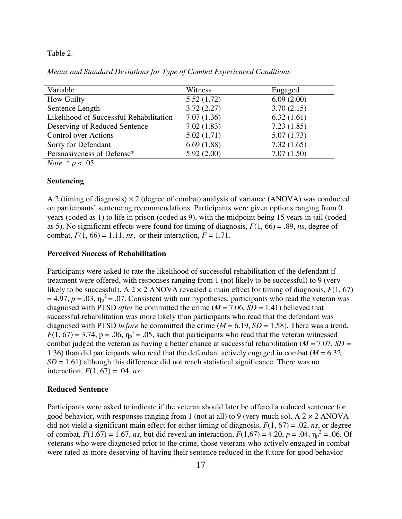#### Table 2.

*Means and Standard Deviations for Type of Combat Experienced Conditions* 

*Note*. \* *p* < .05

#### **Sentencing**

A 2 (timing of diagnosis)  $\times$  2 (degree of combat) analysis of variance (ANOVA) was conducted on participants' sentencing recommendations. Participants were given options ranging from 0 years (coded as 1) to life in prison (coded as 9), with the midpoint being 15 years in jail (coded as 5). No significant effects were found for timing of diagnosis, *F*(1, 66) = .89, *ns*, degree of combat,  $F(1, 66) = 1.11$ , *ns*, or their interaction,  $F = 1.71$ .

## **Perceived Success of Rehabilitation**

Participants were asked to rate the likelihood of successful rehabilitation of the defendant if treatment were offered, with responses ranging from 1 (not likely to be successful) to 9 (very likely to be successful). A  $2 \times 2$  ANOVA revealed a main effect for timing of diagnosis,  $F(1, 67)$  $= 4.97$ ,  $p = .03$ ,  $\eta_p^2 = .07$ . Consistent with our hypotheses, participants who read the veteran was diagnosed with PTSD *after* he committed the crime (*M* = 7.06, *SD* = 1.41) believed that successful rehabilitation was more likely than participants who read that the defendant was diagnosed with PTSD *before* he committed the crime (*M* = 6.19, *SD* = 1.58). There was a trend,  $F(1, 67) = 3.74$ ,  $p = .06$ ,  $\eta_p^2 = .05$ , such that participants who read that the veteran witnessed combat judged the veteran as having a better chance at successful rehabilitation (*M* = 7.07, *SD* = 1.36) than did participants who read that the defendant actively engaged in combat (*M* = 6.32,  $SD = 1.61$ ) although this difference did not reach statistical significance. There was no interaction,  $F(1, 67) = .04$ , *ns*.

#### **Reduced Sentence**

Participants were asked to indicate if the veteran should later be offered a reduced sentence for good behavior, with responses ranging from 1 (not at all) to 9 (very much so). A  $2 \times 2$  ANOVA did not yield a significant main effect for either timing of diagnosis,  $F(1, 67) = .02$ , *ns*, or degree of combat,  $F(1,67) = 1.67$ , *ns*, but did reveal an interaction,  $F(1,67) = 4.20$ ,  $p = .04$ ,  $\eta_p^2 = .06$ . Of veterans who were diagnosed prior to the crime, those veterans who actively engaged in combat were rated as more deserving of having their sentence reduced in the future for good behavior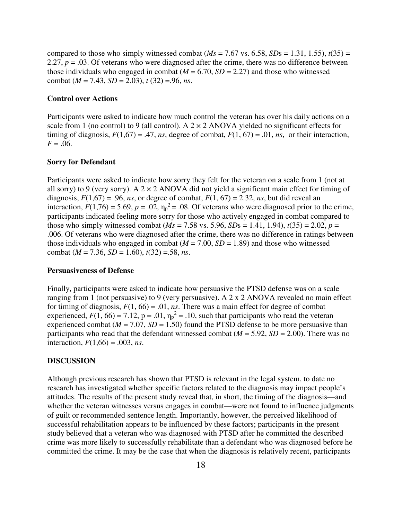compared to those who simply witnessed combat ( $Ms = 7.67$  vs. 6.58,  $SDs = 1.31$ , 1.55),  $t(35) =$ 2.27,  $p = 0.03$ . Of veterans who were diagnosed after the crime, there was no difference between those individuals who engaged in combat  $(M = 6.70, SD = 2.27)$  and those who witnessed combat (*M* = 7.43, *SD* = 2.03), *t* (32) =.96, *ns*.

#### **Control over Actions**

Participants were asked to indicate how much control the veteran has over his daily actions on a scale from 1 (no control) to 9 (all control). A  $2 \times 2$  ANOVA yielded no significant effects for timing of diagnosis,  $F(1,67) = .47$ , *ns*, degree of combat,  $F(1, 67) = .01$ , *ns*, or their interaction,  $F = .06$ .

### **Sorry for Defendant**

Participants were asked to indicate how sorry they felt for the veteran on a scale from 1 (not at all sorry) to 9 (very sorry). A  $2 \times 2$  ANOVA did not yield a significant main effect for timing of diagnosis,  $F(1,67) = .96$ , *ns*, or degree of combat,  $F(1, 67) = 2.32$ , *ns*, but did reveal an interaction,  $F(1,76) = 5.69$ ,  $p = .02$ ,  $\eta_p^2 = .08$ . Of veterans who were diagnosed prior to the crime, participants indicated feeling more sorry for those who actively engaged in combat compared to those who simply witnessed combat ( $Ms = 7.58$  vs. 5.96,  $SDs = 1.41$ , 1.94),  $t(35) = 2.02$ ,  $p =$ .006. Of veterans who were diagnosed after the crime, there was no difference in ratings between those individuals who engaged in combat  $(M = 7.00, SD = 1.89)$  and those who witnessed combat (*M* = 7.36, *SD* = 1.60), *t*(32) =.58, *ns*.

#### **Persuasiveness of Defense**

Finally, participants were asked to indicate how persuasive the PTSD defense was on a scale ranging from 1 (not persuasive) to 9 (very persuasive). A 2 x 2 ANOVA revealed no main effect for timing of diagnosis,  $F(1, 66) = .01$ , *ns*. There was a main effect for degree of combat experienced,  $F(1, 66) = 7.12$ ,  $p = .01$ ,  $\eta_p^2 = .10$ , such that participants who read the veteran experienced combat ( $M = 7.07$ ,  $SD = 1.50$ ) found the PTSD defense to be more persuasive than participants who read that the defendant witnessed combat  $(M = 5.92, SD = 2.00)$ . There was no interaction,  $F(1,66) = .003$ , *ns*.

## **DISCUSSION**

Although previous research has shown that PTSD is relevant in the legal system, to date no research has investigated whether specific factors related to the diagnosis may impact people's attitudes. The results of the present study reveal that, in short, the timing of the diagnosis—and whether the veteran witnesses versus engages in combat—were not found to influence judgments of guilt or recommended sentence length. Importantly, however, the perceived likelihood of successful rehabilitation appears to be influenced by these factors; participants in the present study believed that a veteran who was diagnosed with PTSD after he committed the described crime was more likely to successfully rehabilitate than a defendant who was diagnosed before he committed the crime. It may be the case that when the diagnosis is relatively recent, participants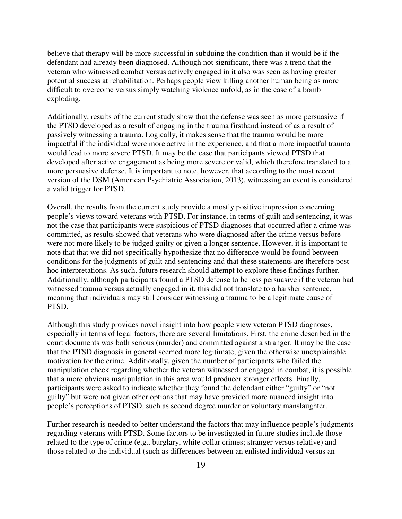believe that therapy will be more successful in subduing the condition than it would be if the defendant had already been diagnosed. Although not significant, there was a trend that the veteran who witnessed combat versus actively engaged in it also was seen as having greater potential success at rehabilitation. Perhaps people view killing another human being as more difficult to overcome versus simply watching violence unfold, as in the case of a bomb exploding.

Additionally, results of the current study show that the defense was seen as more persuasive if the PTSD developed as a result of engaging in the trauma firsthand instead of as a result of passively witnessing a trauma. Logically, it makes sense that the trauma would be more impactful if the individual were more active in the experience, and that a more impactful trauma would lead to more severe PTSD. It may be the case that participants viewed PTSD that developed after active engagement as being more severe or valid, which therefore translated to a more persuasive defense. It is important to note, however, that according to the most recent version of the DSM (American Psychiatric Association, 2013), witnessing an event is considered a valid trigger for PTSD.

Overall, the results from the current study provide a mostly positive impression concerning people's views toward veterans with PTSD. For instance, in terms of guilt and sentencing, it was not the case that participants were suspicious of PTSD diagnoses that occurred after a crime was committed, as results showed that veterans who were diagnosed after the crime versus before were not more likely to be judged guilty or given a longer sentence. However, it is important to note that that we did not specifically hypothesize that no difference would be found between conditions for the judgments of guilt and sentencing and that these statements are therefore post hoc interpretations. As such, future research should attempt to explore these findings further. Additionally, although participants found a PTSD defense to be less persuasive if the veteran had witnessed trauma versus actually engaged in it, this did not translate to a harsher sentence, meaning that individuals may still consider witnessing a trauma to be a legitimate cause of PTSD.

Although this study provides novel insight into how people view veteran PTSD diagnoses, especially in terms of legal factors, there are several limitations. First, the crime described in the court documents was both serious (murder) and committed against a stranger. It may be the case that the PTSD diagnosis in general seemed more legitimate, given the otherwise unexplainable motivation for the crime. Additionally, given the number of participants who failed the manipulation check regarding whether the veteran witnessed or engaged in combat, it is possible that a more obvious manipulation in this area would producer stronger effects. Finally, participants were asked to indicate whether they found the defendant either "guilty" or "not guilty" but were not given other options that may have provided more nuanced insight into people's perceptions of PTSD, such as second degree murder or voluntary manslaughter.

Further research is needed to better understand the factors that may influence people's judgments regarding veterans with PTSD. Some factors to be investigated in future studies include those related to the type of crime (e.g., burglary, white collar crimes; stranger versus relative) and those related to the individual (such as differences between an enlisted individual versus an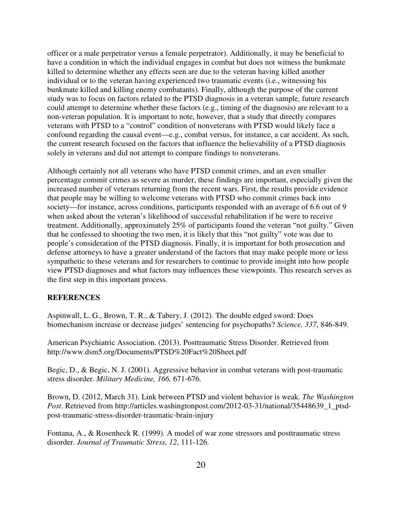officer or a male perpetrator versus a female perpetrator). Additionally, it may be beneficial to have a condition in which the individual engages in combat but does not witness the bunkmate killed to determine whether any effects seen are due to the veteran having killed another individual or to the veteran having experienced two traumatic events (i.e., witnessing his bunkmate killed and killing enemy combatants). Finally, although the purpose of the current study was to focus on factors related to the PTSD diagnosis in a veteran sample, future research could attempt to determine whether these factors (e.g., timing of the diagnosis) are relevant to a non-veteran population. It is important to note, however, that a study that directly compares veterans with PTSD to a "control" condition of nonveterans with PTSD would likely face a confound regarding the causal event—e.g., combat versus, for instance, a car accident. As such, the current research focused on the factors that influence the believability of a PTSD diagnosis solely in veterans and did not attempt to compare findings to nonveterans.

Although certainly not all veterans who have PTSD commit crimes, and an even smaller percentage commit crimes as severe as murder, these findings are important, especially given the increased number of veterans returning from the recent wars. First, the results provide evidence that people may be willing to welcome veterans with PTSD who commit crimes back into society—for instance, across conditions, participants responded with an average of 6.6 out of 9 when asked about the veteran's likelihood of successful rehabilitation if he were to receive treatment. Additionally, approximately 25% of participants found the veteran "not guilty." Given that he confessed to shooting the two men, it is likely that this "not guilty" vote was due to people's consideration of the PTSD diagnosis. Finally, it is important for both prosecution and defense attorneys to have a greater understand of the factors that may make people more or less sympathetic to these veterans and for researchers to continue to provide insight into how people view PTSD diagnoses and what factors may influences these viewpoints. This research serves as the first step in this important process.

#### **REFERENCES**

Aspinwall, L. G., Brown, T. R., & Tabery, J. (2012). The double edged sword: Does biomechanism increase or decrease judges' sentencing for psychopaths? *Science, 337*, 846-849.

American Psychiatric Association. (2013). Posttraumatic Stress Disorder. Retrieved from http://www.dsm5.org/Documents/PTSD%20Fact%20Sheet.pdf

Begic, D., & Begic, N. J. (2001). Aggressive behavior in combat veterans with post-traumatic stress disorder. *Military Medicine, 166,* 671-676.

Brown, D. (2012, March 31). Link between PTSD and violent behavior is weak. *The Washington Post*. Retrieved from http://articles.washingtonpost.com/2012-03-31/national/35448639\_1\_ptsdpost-traumatic-stress-disorder-traumatic-brain-injury

Fontana, A., & Rosenheck R. (1999). A model of war zone stressors and posttraumatic stress disorder. *Journal of Traumatic Stress, 12*, 111-126.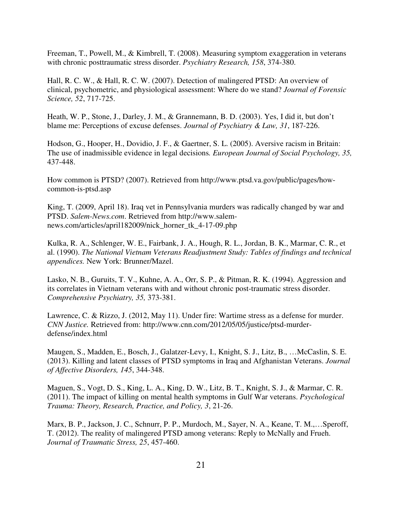Freeman, T., Powell, M., & Kimbrell, T. (2008). Measuring symptom exaggeration in veterans with chronic posttraumatic stress disorder. *Psychiatry Research, 158*, 374-380.

Hall, R. C. W., & Hall, R. C. W. (2007). Detection of malingered PTSD: An overview of clinical, psychometric, and physiological assessment: Where do we stand? *Journal of Forensic Science, 52*, 717-725.

Heath, W. P., Stone, J., Darley, J. M., & Grannemann, B. D. (2003). Yes, I did it, but don't blame me: Perceptions of excuse defenses. *Journal of Psychiatry & Law, 31*, 187-226.

Hodson, G., Hooper, H., Dovidio, J. F., & Gaertner, S. L. (2005). Aversive racism in Britain: The use of inadmissible evidence in legal decisions*. European Journal of Social Psychology, 35,* 437-448.

How common is PTSD? (2007). Retrieved from http://www.ptsd.va.gov/public/pages/howcommon-is-ptsd.asp

King, T. (2009, April 18). Iraq vet in Pennsylvania murders was radically changed by war and PTSD. *Salem-News.com*. Retrieved from http://www.salemnews.com/articles/april182009/nick\_horner\_tk\_4-17-09.php

Kulka, R. A., Schlenger, W. E., Fairbank, J. A., Hough, R. L., Jordan, B. K., Marmar, C. R., et al. (1990). *The National Vietnam Veterans Readjustment Study: Tables of findings and technical appendices.* New York: Brunner/Mazel.

Lasko, N. B., Guruits, T. V., Kuhne, A. A., Orr, S. P., & Pitman, R. K. (1994). Aggression and its correlates in Vietnam veterans with and without chronic post-traumatic stress disorder. *Comprehensive Psychiatry, 35,* 373-381.

Lawrence, C. & Rizzo, J. (2012, May 11). Under fire: Wartime stress as a defense for murder. *CNN Justice.* Retrieved from: http://www.cnn.com/2012/05/05/justice/ptsd-murderdefense/index.html

Maugen, S., Madden, E., Bosch, J., Galatzer-Levy, I., Knight, S. J., Litz, B., …McCaslin, S. E. (2013). Killing and latent classes of PTSD symptoms in Iraq and Afghanistan Veterans. *Journal of Affective Disorders, 145*, 344-348.

Maguen, S., Vogt, D. S., King, L. A., King, D. W., Litz, B. T., Knight, S. J., & Marmar, C. R. (2011). The impact of killing on mental health symptoms in Gulf War veterans. *Psychological Trauma: Theory, Research, Practice, and Policy, 3*, 21-26.

Marx, B. P., Jackson, J. C., Schnurr, P. P., Murdoch, M., Sayer, N. A., Keane, T. M.,…Speroff, T. (2012). The reality of malingered PTSD among veterans: Reply to McNally and Frueh. *Journal of Traumatic Stress, 25*, 457-460.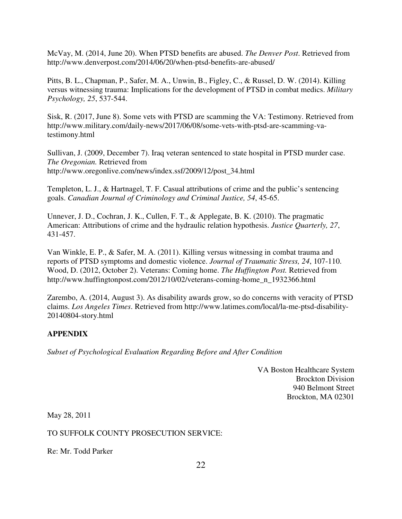McVay, M. (2014, June 20). When PTSD benefits are abused. *The Denver Post*. Retrieved from http://www.denverpost.com/2014/06/20/when-ptsd-benefits-are-abused/

Pitts, B. L., Chapman, P., Safer, M. A., Unwin, B., Figley, C., & Russel, D. W. (2014). Killing versus witnessing trauma: Implications for the development of PTSD in combat medics. *Military Psychology, 25*, 537-544.

Sisk, R. (2017, June 8). Some vets with PTSD are scamming the VA: Testimony. Retrieved from http://www.military.com/daily-news/2017/06/08/some-vets-with-ptsd-are-scamming-vatestimony.html

Sullivan, J. (2009, December 7). Iraq veteran sentenced to state hospital in PTSD murder case. *The Oregonian.* Retrieved from http://www.oregonlive.com/news/index.ssf/2009/12/post\_34.html

Templeton, L. J., & Hartnagel, T. F. Casual attributions of crime and the public's sentencing goals. *Canadian Journal of Criminology and Criminal Justice, 54*, 45-65.

Unnever, J. D., Cochran, J. K., Cullen, F. T., & Applegate, B. K. (2010). The pragmatic American: Attributions of crime and the hydraulic relation hypothesis. *Justice Quarterly, 27*, 431-457.

Van Winkle, E. P., & Safer, M. A. (2011). Killing versus witnessing in combat trauma and reports of PTSD symptoms and domestic violence. *Journal of Traumatic Stress, 24*, 107-110. Wood, D. (2012, October 2). Veterans: Coming home. *The Huffington Post.* Retrieved from http://www.huffingtonpost.com/2012/10/02/veterans-coming-home\_n\_1932366.html

Zarembo, A. (2014, August 3). As disability awards grow, so do concerns with veracity of PTSD claims. *Los Angeles Times*. Retrieved from http://www.latimes.com/local/la-me-ptsd-disability-20140804-story.html

# **APPENDIX**

*Subset of Psychological Evaluation Regarding Before and After Condition* 

VA Boston Healthcare System Brockton Division 940 Belmont Street Brockton, MA 02301

May 28, 2011

# TO SUFFOLK COUNTY PROSECUTION SERVICE:

Re: Mr. Todd Parker